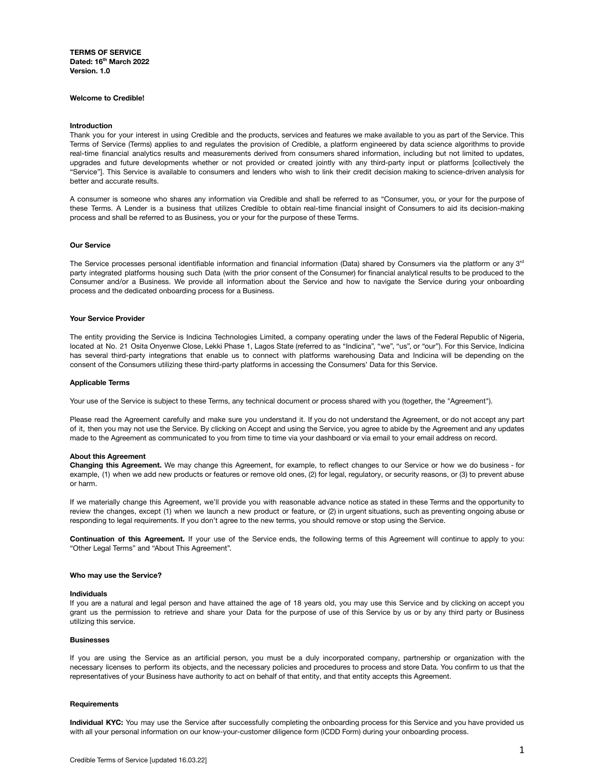**TERMS OF SERVICE Dated: 16th March 2022 Version. 1.0**

#### **Welcome to Credible!**

#### **Introduction**

Thank you for your interest in using Credible and the products, services and features we make available to you as part of the Service. This Terms of Service (Terms) applies to and regulates the provision of Credible, a platform engineered by data science algorithms to provide real-time financial analytics results and measurements derived from consumers shared information, including but not limited to updates, upgrades and future developments whether or not provided or created jointly with any third-party input or platforms [collectively the "Service"]. This Service is available to consumers and lenders who wish to link their credit decision making to science-driven analysis for better and accurate results.

A consumer is someone who shares any information via Credible and shall be referred to as "Consumer, you, or your for the purpose of these Terms. A Lender is a business that utilizes Credible to obtain real-time financial insight of Consumers to aid its decision-making process and shall be referred to as Business, you or your for the purpose of these Terms.

#### **Our Service**

The Service processes personal identifiable information and financial information (Data) shared by Consumers via the platform or any 3<sup>rd</sup> party integrated platforms housing such Data (with the prior consent of the Consumer) for financial analytical results to be produced to the Consumer and/or a Business. We provide all information about the Service and how to navigate the Service during your onboarding process and the dedicated onboarding process for a Business.

#### **Your Service Provider**

The entity providing the Service is Indicina Technologies Limited, a company operating under the laws of the Federal Republic of Nigeria, located at No. 21 Osita Onyenwe Close, Lekki Phase 1, Lagos State (referred to as "Indicina", "we", "us", or "our"). For this Service, Indicina has several third-party integrations that enable us to connect with platforms warehousing Data and Indicina will be depending on the consent of the Consumers utilizing these third-party platforms in accessing the Consumers' Data for this Service.

#### **Applicable Terms**

Your use of the Service is subject to these Terms, any technical document or process shared with you (together, the "Agreement").

Please read the Agreement carefully and make sure you understand it. If you do not understand the Agreement, or do not accept any part of it, then you may not use the Service. By clicking on Accept and using the Service, you agree to abide by the Agreement and any updates made to the Agreement as communicated to you from time to time via your dashboard or via email to your email address on record.

#### **About this Agreement**

**Changing this Agreement.** We may change this Agreement, for example, to reflect changes to our Service or how we do business - for example, (1) when we add new products or features or remove old ones, (2) for legal, regulatory, or security reasons, or (3) to prevent abuse or harm.

If we materially change this Agreement, we'll provide you with reasonable advance notice as stated in these Terms and the opportunity to review the changes, except (1) when we launch a new product or feature, or (2) in urgent situations, such as preventing ongoing abuse or responding to legal requirements. If you don't agree to the new terms, you should remove or stop using the Service.

**Continuation of this Agreement.** If your use of the Service ends, the following terms of this Agreement will continue to apply to you: "Other Legal Terms" and "About This Agreement".

## **Who may use the Service?**

#### **Individuals**

If you are a natural and legal person and have attained the age of 18 years old, you may use this Service and by clicking on accept you grant us the permission to retrieve and share your Data for the purpose of use of this Service by us or by any third party or Business utilizing this service.

## **Businesses**

If you are using the Service as an artificial person, you must be a duly incorporated company, partnership or organization with the necessary licenses to perform its objects, and the necessary policies and procedures to process and store Data. You confirm to us that the representatives of your Business have authority to act on behalf of that entity, and that entity accepts this Agreement.

#### **Requirements**

**Individual KYC:** You may use the Service after successfully completing the onboarding process for this Service and you have provided us with all your personal information on our know-your-customer diligence form (ICDD Form) during your onboarding process.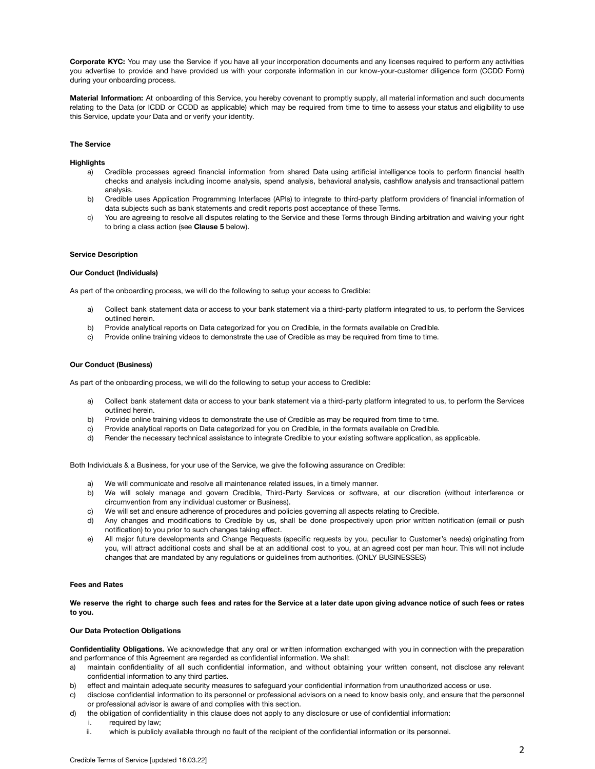**Corporate KYC:** You may use the Service if you have all your incorporation documents and any licenses required to perform any activities you advertise to provide and have provided us with your corporate information in our know-your-customer diligence form (CCDD Form) during your onboarding process.

**Material Information:** At onboarding of this Service, you hereby covenant to promptly supply, all material information and such documents relating to the Data (or ICDD or CCDD as applicable) which may be required from time to time to assess your status and eligibility to use this Service, update your Data and or verify your identity.

## **The Service**

#### **Highlights**

- a) Credible processes agreed financial information from shared Data using artificial intelligence tools to perform financial health checks and analysis including income analysis, spend analysis, behavioral analysis, cashflow analysis and transactional pattern analysis.
- b) Credible uses Application Programming Interfaces (APIs) to integrate to third-party platform providers of financial information of data subjects such as bank statements and credit reports post acceptance of these Terms.
- c) You are agreeing to resolve all disputes relating to the Service and these Terms through Binding arbitration and waiving your right to bring a class action (see **Clause 5** below).

## **Service Description**

## **Our Conduct (Individuals)**

As part of the onboarding process, we will do the following to setup your access to Credible:

- a) Collect bank statement data or access to your bank statement via a third-party platform integrated to us, to perform the Services outlined herein.
- b) Provide analytical reports on Data categorized for you on Credible, in the formats available on Credible.
- c) Provide online training videos to demonstrate the use of Credible as may be required from time to time.

# **Our Conduct (Business)**

As part of the onboarding process, we will do the following to setup your access to Credible:

- a) Collect bank statement data or access to your bank statement via a third-party platform integrated to us, to perform the Services outlined herein.
- b) Provide online training videos to demonstrate the use of Credible as may be required from time to time.
- c) Provide analytical reports on Data categorized for you on Credible, in the formats available on Credible.
- d) Render the necessary technical assistance to integrate Credible to your existing software application, as applicable.

Both Individuals & a Business, for your use of the Service, we give the following assurance on Credible:

- a) We will communicate and resolve all maintenance related issues, in a timely manner.
- b) We will solely manage and govern Credible, Third-Party Services or software, at our discretion (without interference or circumvention from any individual customer or Business).
- c) We will set and ensure adherence of procedures and policies governing all aspects relating to Credible.
- d) Any changes and modifications to Credible by us, shall be done prospectively upon prior written notification (email or push notification) to you prior to such changes taking effect.
- e) All major future developments and Change Requests (specific requests by you, peculiar to Customer's needs) originating from you, will attract additional costs and shall be at an additional cost to you, at an agreed cost per man hour. This will not include changes that are mandated by any regulations or guidelines from authorities. (ONLY BUSINESSES)

## **Fees and Rates**

We reserve the right to charge such fees and rates for the Service at a later date upon giving advance notice of such fees or rates **to you.**

# **Our Data Protection Obligations**

**Confidentiality Obligations.** We acknowledge that any oral or written information exchanged with you in connection with the preparation and performance of this Agreement are regarded as confidential information. We shall:

- a) maintain confidentiality of all such confidential information, and without obtaining your written consent, not disclose any relevant confidential information to any third parties.
- b) effect and maintain adequate security measures to safeguard your confidential information from unauthorized access or use.
- c) disclose confidential information to its personnel or professional advisors on a need to know basis only, and ensure that the personnel or professional advisor is aware of and complies with this section.
- d) the obligation of confidentiality in this clause does not apply to any disclosure or use of confidential information:
	- i. required by law;
	- ii. which is publicly available through no fault of the recipient of the confidential information or its personnel.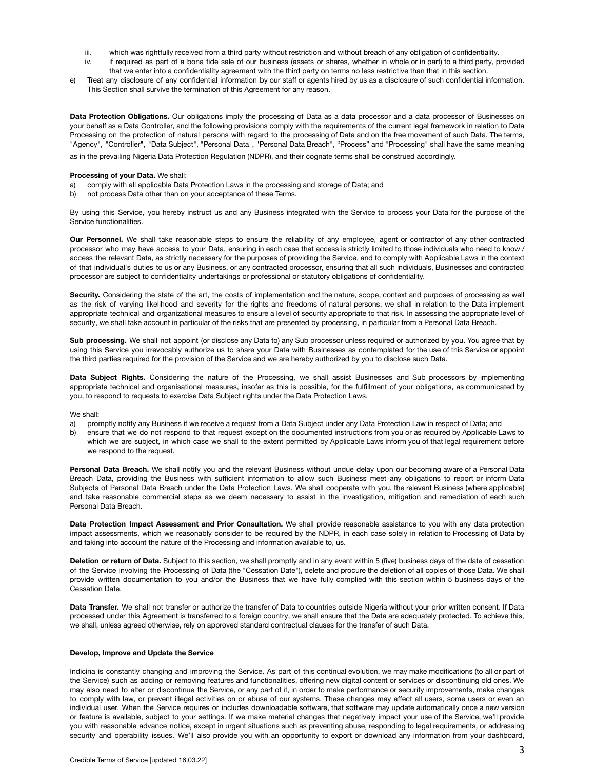- iii. which was rightfully received from a third party without restriction and without breach of any obligation of confidentiality.
- iv. if required as part of a bona fide sale of our business (assets or shares, whether in whole or in part) to a third party, provided that we enter into a confidentiality agreement with the third party on terms no less restrictive than that in this section.
- e) Treat any disclosure of any confidential information by our staff or agents hired by us as a disclosure of such confidential information. This Section shall survive the termination of this Agreement for any reason.

**Data Protection Obligations.** Our obligations imply the processing of Data as a data processor and a data processor of Businesses on your behalf as a Data Controller, and the following provisions comply with the requirements of the current legal framework in relation to Data Processing on the protection of natural persons with regard to the processing of Data and on the free movement of such Data. The terms, "Agency", "Controller", "Data Subject", "Personal Data", "Personal Data Breach", "Process" and "Processing" shall have the same meaning

as in the prevailing Nigeria Data Protection Regulation (NDPR), and their cognate terms shall be construed accordingly.

## **Processing of your Data.** We shall:

- a) comply with all applicable Data Protection Laws in the processing and storage of Data; and
- b) not process Data other than on your acceptance of these Terms.

By using this Service, you hereby instruct us and any Business integrated with the Service to process your Data for the purpose of the Service functionalities.

**Our Personnel.** We shall take reasonable steps to ensure the reliability of any employee, agent or contractor of any other contracted processor who may have access to your Data, ensuring in each case that access is strictly limited to those individuals who need to know / access the relevant Data, as strictly necessary for the purposes of providing the Service, and to comply with Applicable Laws in the context of that individual's duties to us or any Business, or any contracted processor, ensuring that all such individuals, Businesses and contracted processor are subject to confidentiality undertakings or professional or statutory obligations of confidentiality.

Security. Considering the state of the art, the costs of implementation and the nature, scope, context and purposes of processing as well as the risk of varying likelihood and severity for the rights and freedoms of natural persons, we shall in relation to the Data implement appropriate technical and organizational measures to ensure a level of security appropriate to that risk. In assessing the appropriate level of security, we shall take account in particular of the risks that are presented by processing, in particular from a Personal Data Breach.

**Sub processing.** We shall not appoint (or disclose any Data to) any Sub processor unless required or authorized by you. You agree that by using this Service you irrevocably authorize us to share your Data with Businesses as contemplated for the use of this Service or appoint the third parties required for the provision of the Service and we are hereby authorized by you to disclose such Data.

**Data Subject Rights.** Considering the nature of the Processing, we shall assist Businesses and Sub processors by implementing appropriate technical and organisational measures, insofar as this is possible, for the fulfillment of your obligations, as communicated by you, to respond to requests to exercise Data Subject rights under the Data Protection Laws.

# We shall:

- a) promptly notify any Business if we receive a request from a Data Subject under any Data Protection Law in respect of Data; and
- b) ensure that we do not respond to that request except on the documented instructions from you or as required by Applicable Laws to which we are subject, in which case we shall to the extent permitted by Applicable Laws inform you of that legal requirement before we respond to the request.

**Personal Data Breach.** We shall notify you and the relevant Business without undue delay upon our becoming aware of a Personal Data Breach Data, providing the Business with sufficient information to allow such Business meet any obligations to report or inform Data Subjects of Personal Data Breach under the Data Protection Laws. We shall cooperate with you, the relevant Business (where applicable) and take reasonable commercial steps as we deem necessary to assist in the investigation, mitigation and remediation of each such Personal Data Breach.

**Data Protection Impact Assessment and Prior Consultation.** We shall provide reasonable assistance to you with any data protection impact assessments, which we reasonably consider to be required by the NDPR, in each case solely in relation to Processing of Data by and taking into account the nature of the Processing and information available to, us.

**Deletion or return of Data.** Subject to this section, we shall promptly and in any event within 5 (five) business days of the date of cessation of the Service involving the Processing of Data (the "Cessation Date"), delete and procure the deletion of all copies of those Data. We shall provide written documentation to you and/or the Business that we have fully complied with this section within 5 business days of the Cessation Date.

**Data Transfer.** We shall not transfer or authorize the transfer of Data to countries outside Nigeria without your prior written consent. If Data processed under this Agreement is transferred to a foreign country, we shall ensure that the Data are adequately protected. To achieve this, we shall, unless agreed otherwise, rely on approved standard contractual clauses for the transfer of such Data.

# **Develop, Improve and Update the Service**

Indicina is constantly changing and improving the Service. As part of this continual evolution, we may make modifications (to all or part of the Service) such as adding or removing features and functionalities, offering new digital content or services or discontinuing old ones. We may also need to alter or discontinue the Service, or any part of it, in order to make performance or security improvements, make changes to comply with law, or prevent illegal activities on or abuse of our systems. These changes may affect all users, some users or even an individual user. When the Service requires or includes downloadable software, that software may update automatically once a new version or feature is available, subject to your settings. If we make material changes that negatively impact your use of the Service, we'll provide you with reasonable advance notice, except in urgent situations such as preventing abuse, responding to legal requirements, or addressing security and operability issues. We'll also provide you with an opportunity to export or download any information from your dashboard,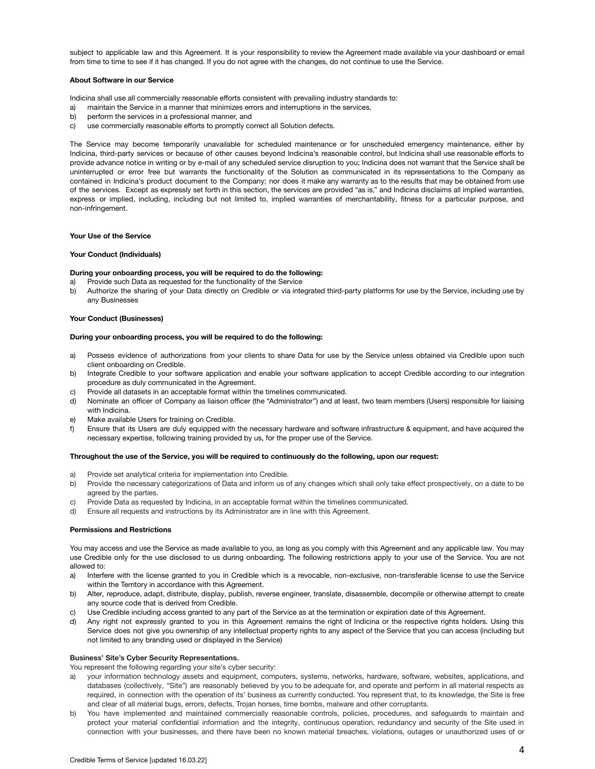subject to applicable law and this Agreement. It is your responsibility to review the Agreement made available via your dashboard or email from time to time to see if it has changed. If you do not agree with the changes, do not continue to use the Service.

## **About Software in our Service**

Indicina shall use all commercially reasonable efforts consistent with prevailing industry standards to:

- a) maintain the Service in a manner that minimizes errors and interruptions in the services,
- b) perform the services in a professional manner, and
- c) use commercially reasonable efforts to promptly correct all Solution defects.

The Service may become temporarily unavailable for scheduled maintenance or for unscheduled emergency maintenance, either by Indicina, third-party services or because of other causes beyond Indicina's reasonable control, but Indicina shall use reasonable efforts to provide advance notice in writing or by e-mail of any scheduled service disruption to you; Indicina does not warrant that the Service shall be uninterrupted or error free but warrants the functionality of the Solution as communicated in its representations to the Company as contained in Indicina's product document to the Company; nor does it make any warranty as to the results that may be obtained from use of the services. Except as expressly set forth in this section, the services are provided "as is," and Indicina disclaims all implied warranties, express or implied, including, including but not limited to, implied warranties of merchantability, fitness for a particular purpose, and non-infringement.

## **Your Use of the Service**

## **Your Conduct (Individuals)**

# **During your onboarding process, you will be required to do the following:**

- a) Provide such Data as requested for the functionality of the Service
- b) Authorize the sharing of your Data directly on Credible or via integrated third-party platforms for use by the Service, including use by any Businesses

# **Your Conduct (Businesses)**

## **During your onboarding process, you will be required to do the following:**

- a) Possess evidence of authorizations from your clients to share Data for use by the Service unless obtained via Credible upon such client onboarding on Credible.
- b) Integrate Credible to your software application and enable your software application to accept Credible according to our integration procedure as duly communicated in the Agreement.
- c) Provide all datasets in an acceptable format within the timelines communicated.
- d) Nominate an officer of Company as liaison officer (the "Administrator") and at least, two team members (Users) responsible for liaising with Indicina.
- e) Make available Users for training on Credible.
- f) Ensure that its Users are duly equipped with the necessary hardware and software infrastructure & equipment, and have acquired the necessary expertise, following training provided by us, for the proper use of the Service.

#### **Throughout the use of the Service, you will be required to continuously do the following, upon our request:**

- a) Provide set analytical criteria for implementation into Credible.
- b) Provide the necessary categorizations of Data and inform us of any changes which shall only take effect prospectively, on a date to be agreed by the parties.
- c) Provide Data as requested by Indicina, in an acceptable format within the timelines communicated.
- d) Ensure all requests and instructions by its Administrator are in line with this Agreement.

#### **Permissions and Restrictions**

You may access and use the Service as made available to you, as long as you comply with this Agreement and any applicable law. You may use Credible only for the use disclosed to us during onboarding. The following restrictions apply to your use of the Service. You are not allowed to:

- a) Interfere with the license granted to you in Credible which is a revocable, non-exclusive, non-transferable license to use the Service within the Territory in accordance with this Agreement.
- b) Alter, reproduce, adapt, distribute, display, publish, reverse engineer, translate, disassemble, decompile or otherwise attempt to create any source code that is derived from Credible.
- c) Use Credible including access granted to any part of the Service as at the termination or expiration date of this Agreement.
- d) Any right not expressly granted to you in this Agreement remains the right of Indicina or the respective rights holders. Using this Service does not give you ownership of any intellectual property rights to any aspect of the Service that you can access (including but not limited to any branding used or displayed in the Service)

#### **Business' Site's Cyber Security Representations.**

You represent the following regarding your site's cyber security:

- a) your information technology assets and equipment, computers, systems, networks, hardware, software, websites, applications, and databases (collectively, "Site") are reasonably believed by you to be adequate for, and operate and perform in all material respects as required, in connection with the operation of its' business as currently conducted. You represent that, to its knowledge, the Site is free and clear of all material bugs, errors, defects, Trojan horses, time bombs, malware and other corruptants.
- b) You have implemented and maintained commercially reasonable controls, policies, procedures, and safeguards to maintain and protect your material confidential information and the integrity, continuous operation, redundancy and security of the Site used in connection with your businesses, and there have been no known material breaches, violations, outages or unauthorized uses of or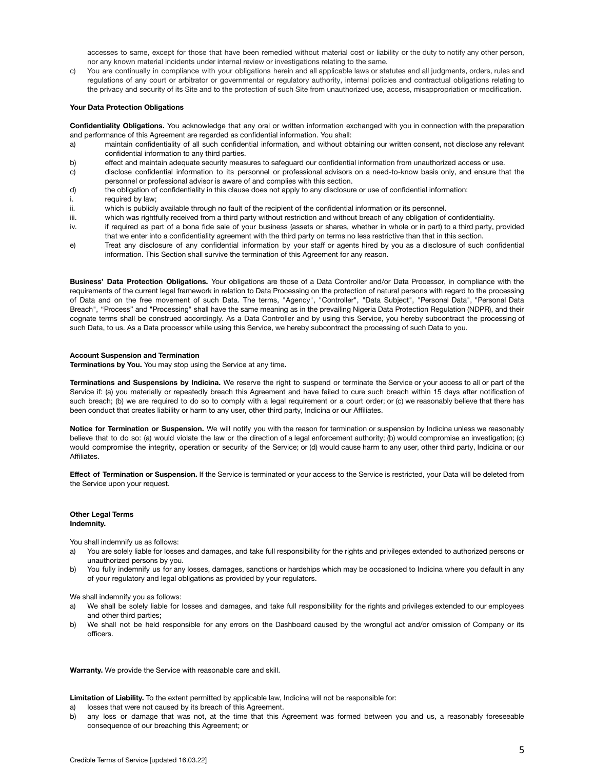accesses to same, except for those that have been remedied without material cost or liability or the duty to notify any other person, nor any known material incidents under internal review or investigations relating to the same.

c) You are continually in compliance with your obligations herein and all applicable laws or statutes and all judgments, orders, rules and regulations of any court or arbitrator or governmental or regulatory authority, internal policies and contractual obligations relating to the privacy and security of its Site and to the protection of such Site from unauthorized use, access, misappropriation or modification.

# **Your Data Protection Obligations**

**Confidentiality Obligations.** You acknowledge that any oral or written information exchanged with you in connection with the preparation and performance of this Agreement are regarded as confidential information. You shall:

- a) maintain confidentiality of all such confidential information, and without obtaining our written consent, not disclose any relevant confidential information to any third parties.
- b) effect and maintain adequate security measures to safeguard our confidential information from unauthorized access or use.
- c) disclose confidential information to its personnel or professional advisors on a need-to-know basis only, and ensure that the personnel or professional advisor is aware of and complies with this section.
- d) the obligation of confidentiality in this clause does not apply to any disclosure or use of confidential information:
- i. required by law;
- ii. which is publicly available through no fault of the recipient of the confidential information or its personnel.
- iii. which was rightfully received from a third party without restriction and without breach of any obligation of confidentiality.
- iv. if required as part of a bona fide sale of your business (assets or shares, whether in whole or in part) to a third party, provided that we enter into a confidentiality agreement with the third party on terms no less restrictive than that in this section.
- e) Treat any disclosure of any confidential information by your staff or agents hired by you as a disclosure of such confidential information. This Section shall survive the termination of this Agreement for any reason.

**Business' Data Protection Obligations.** Your obligations are those of a Data Controller and/or Data Processor, in compliance with the requirements of the current legal framework in relation to Data Processing on the protection of natural persons with regard to the processing of Data and on the free movement of such Data. The terms, "Agency", "Controller", "Data Subject", "Personal Data", "Personal Data Breach", "Process" and "Processing" shall have the same meaning as in the prevailing Nigeria Data Protection Regulation (NDPR), and their cognate terms shall be construed accordingly. As a Data Controller and by using this Service, you hereby subcontract the processing of such Data, to us. As a Data processor while using this Service, we hereby subcontract the processing of such Data to you.

## **Account Suspension and Termination**

**Terminations by You.** You may stop using the Service at any time**.**

**Terminations and Suspensions by Indicina.** We reserve the right to suspend or terminate the Service or your access to all or part of the Service if: (a) you materially or repeatedly breach this Agreement and have failed to cure such breach within 15 days after notification of such breach; (b) we are required to do so to comply with a legal requirement or a court order; or (c) we reasonably believe that there has been conduct that creates liability or harm to any user, other third party, Indicina or our Affiliates.

**Notice for Termination or Suspension.** We will notify you with the reason for termination or suspension by Indicina unless we reasonably believe that to do so: (a) would violate the law or the direction of a legal enforcement authority; (b) would compromise an investigation; (c) would compromise the integrity, operation or security of the Service; or (d) would cause harm to any user, other third party, Indicina or our Affiliates.

**Effect of Termination or Suspension.** If the Service is terminated or your access to the Service is restricted, your Data will be deleted from the Service upon your request.

## **Other Legal Terms Indemnity.**

You shall indemnify us as follows:

- a) You are solely liable for losses and damages, and take full responsibility for the rights and privileges extended to authorized persons or unauthorized persons by you.
- b) You fully indemnify us for any losses, damages, sanctions or hardships which may be occasioned to Indicina where you default in any of your regulatory and legal obligations as provided by your regulators.

We shall indemnify you as follows:

- a) We shall be solely liable for losses and damages, and take full responsibility for the rights and privileges extended to our employees and other third parties;
- b) We shall not be held responsible for any errors on the Dashboard caused by the wrongful act and/or omission of Company or its officers.

**Warranty.** We provide the Service with reasonable care and skill.

**Limitation of Liability.** To the extent permitted by applicable law, Indicina will not be responsible for:

- a) losses that were not caused by its breach of this Agreement.
- b) any loss or damage that was not, at the time that this Agreement was formed between you and us, a reasonably foreseeable consequence of our breaching this Agreement; or